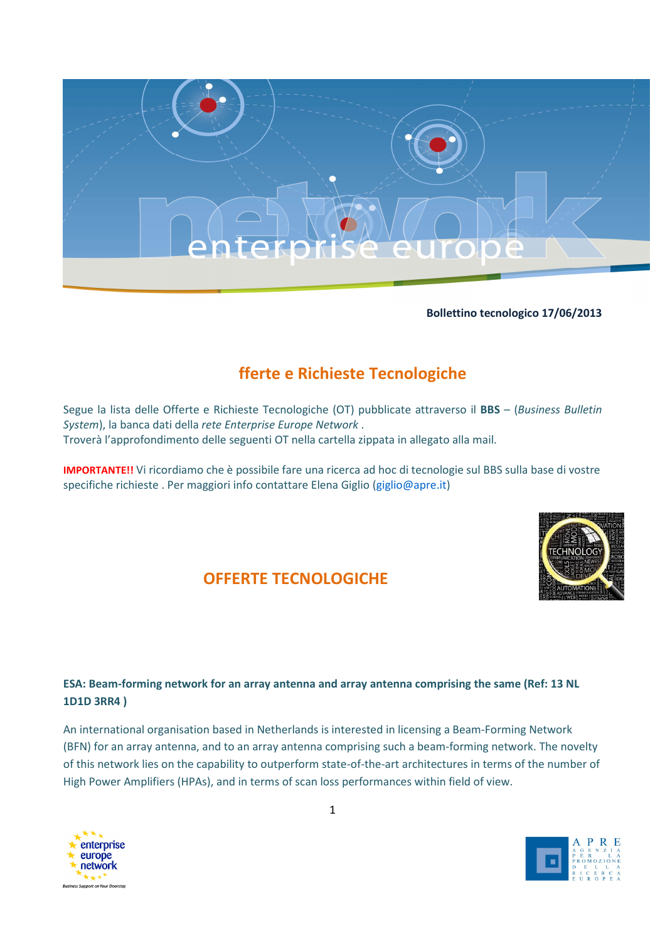

### Bollettino tecnologico 17/06/2013

# fferte e Richieste Tecnologiche

Segue la lista delle Offerte e Richieste Tecnologiche (OT) pubblicate attraverso il BBS – (Business Bulletin System), la banca dati della rete Enterprise Europe Network . Troverà l'approfondimento delle seguenti OT nella cartella zippata in allegato alla mail.

IMPORTANTE!! Vi ricordiamo che è possibile fare una ricerca ad hoc di tecnologie sul BBS sulla base di vostre specifiche richieste . Per maggiori info contattare Elena Giglio (giglio@apre.it)



# OFFERTE TECNOLOGICHE

# ESA: Beam-forming network for an array antenna and array antenna comprising the same (Ref: 13 NL 1D1D 3RR4 )

An international organisation based in Netherlands is interested in licensing a Beam-Forming Network (BFN) for an array antenna, and to an array antenna comprising such a beam-forming network. The novelty of this network lies on the capability to outperform state-of-the-art architectures in terms of the number of High Power Amplifiers (HPAs), and in terms of scan loss performances within field of view.



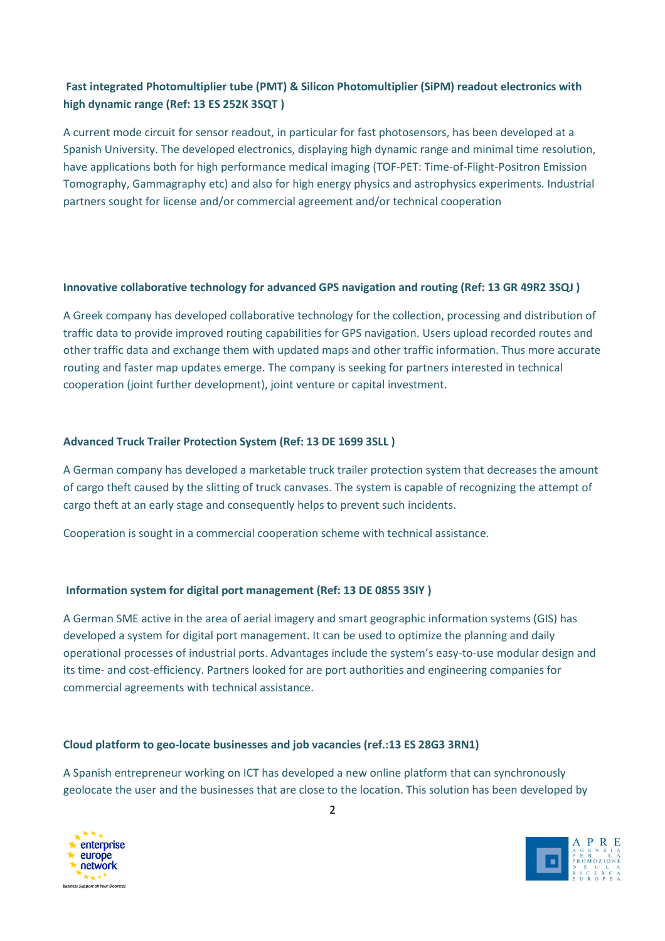# Fast integrated Photomultiplier tube (PMT) & Silicon Photomultiplier (SiPM) readout electronics with high dynamic range (Ref: 13 ES 252K 3SQT )

A current mode circuit for sensor readout, in particular for fast photosensors, has been developed at a Spanish University. The developed electronics, displaying high dynamic range and minimal time resolution, have applications both for high performance medical imaging (TOF-PET: Time-of-Flight-Positron Emission Tomography, Gammagraphy etc) and also for high energy physics and astrophysics experiments. Industrial partners sought for license and/or commercial agreement and/or technical cooperation

## Innovative collaborative technology for advanced GPS navigation and routing (Ref: 13 GR 49R2 3SQJ )

A Greek company has developed collaborative technology for the collection, processing and distribution of traffic data to provide improved routing capabilities for GPS navigation. Users upload recorded routes and other traffic data and exchange them with updated maps and other traffic information. Thus more accurate routing and faster map updates emerge. The company is seeking for partners interested in technical cooperation (joint further development), joint venture or capital investment.

### Advanced Truck Trailer Protection System (Ref: 13 DE 1699 3SLL )

A German company has developed a marketable truck trailer protection system that decreases the amount of cargo theft caused by the slitting of truck canvases. The system is capable of recognizing the attempt of cargo theft at an early stage and consequently helps to prevent such incidents.

Cooperation is sought in a commercial cooperation scheme with technical assistance.

## Information system for digital port management (Ref: 13 DE 0855 3SIY )

A German SME active in the area of aerial imagery and smart geographic information systems (GIS) has developed a system for digital port management. It can be used to optimize the planning and daily operational processes of industrial ports. Advantages include the system's easy-to-use modular design and its time- and cost-efficiency. Partners looked for are port authorities and engineering companies for commercial agreements with technical assistance.

#### Cloud platform to geo-locate businesses and job vacancies (ref.:13 ES 28G3 3RN1)

A Spanish entrepreneur working on ICT has developed a new online platform that can synchronously geolocate the user and the businesses that are close to the location. This solution has been developed by